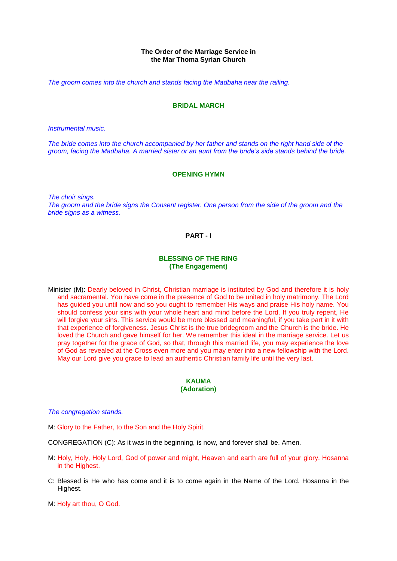## **The Order of the Marriage Service in the Mar Thoma Syrian Church**

*The groom comes into the church and stands facing the Madbaha near the railing.*

## **BRIDAL MARCH**

*Instrumental music.*

*The bride comes into the church accompanied by her father and stands on the right hand side of the groom, facing the Madbaha. A married sister or an aunt from the bride's side stands behind the bride.*

### **OPENING HYMN**

*The choir sings. The groom and the bride signs the Consent register. One person from the side of the groom and the bride signs as a witness.*

## **PART - I**

# **BLESSING OF THE RING (The Engagement)**

Minister (M): Dearly beloved in Christ, Christian marriage is instituted by God and therefore it is holy and sacramental. You have come in the presence of God to be united in holy matrimony. The Lord has guided you until now and so you ought to remember His ways and praise His holy name. You should confess your sins with your whole heart and mind before the Lord. If you truly repent, He will forgive your sins. This service would be more blessed and meaningful, if you take part in it with that experience of forgiveness. Jesus Christ is the true bridegroom and the Church is the bride. He loved the Church and gave himself for her. We remember this ideal in the marriage service. Let us pray together for the grace of God, so that, through this married life, you may experience the love of God as revealed at the Cross even more and you may enter into a new fellowship with the Lord. May our Lord give you grace to lead an authentic Christian family life until the very last.

### **KAUMA (Adoration)**

*The congregation stands.*

M: Glory to the Father, to the Son and the Holy Spirit.

CONGREGATION (C): As it was in the beginning, is now, and forever shall be. Amen.

- M: Holy, Holy, Holy Lord, God of power and might, Heaven and earth are full of your glory. Hosanna in the Highest.
- C: Blessed is He who has come and it is to come again in the Name of the Lord. Hosanna in the Highest.
- M: Holy art thou, O God.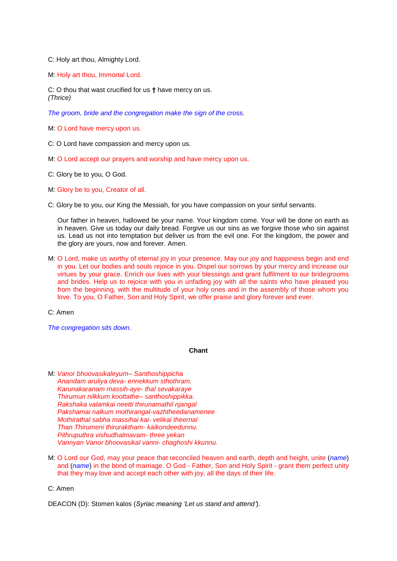C: Holy art thou, Almighty Lord.

M: Holy art thou, Immortal Lord.

C: O thou that wast crucified for us **†** have mercy on us. *(Thrice)*

*The groom, bride and the congregation make the sign of the cross.*

M: O Lord have mercy upon us.

C: O Lord have compassion and mercy upon us.

- M: O Lord accept our prayers and worship and have mercy upon us.
- C: Glory be to you, O God.
- M: Glory be to you, Creator of all.
- C: Glory be to you, our King the Messiah, for you have compassion on your sinful servants.

Our father in heaven, hallowed be your name. Your kingdom come. Your will be done on earth as in heaven. Give us today our daily bread. Forgive us our sins as we forgive those who sin against us. Lead us not into temptation but deliver us from the evil one. For the kingdom, the power and the glory are yours, now and forever. Amen.

M: O Lord, make us worthy of eternal joy in your presence. May our joy and happiness begin and end in you. Let our bodies and souls rejoice in you. Dispel our sorrows by your mercy and increase our virtues by your grace. Enrich our lives with your blessings and grant fulfilment to our bridegrooms and brides. Help us to rejoice with you in unfading joy with all the saints who have pleased you from the beginning, with the multitude of your holy ones and in the assembly of those whom you love. To you, O Father, Son and Holy Spirit, we offer praise and glory forever and ever.

C: Amen

*The congregation sits down.*

### **Chant**

- M: *Vanor bhoovasikaleyum Santhoshippicha Anandam aruliya deva*- *ennekkum sthothram. Karunakaranam massih-aye*- *thal sevakaraye Thirumun nilkkum koottathe*– *santhoshippikka. Rakshaka valamkai neetti thirunamathil njangal Pakshamai nalkum mothirangal-vazhtheedanamenee Mothirathal sabha massihai kai*- *velikai theernal Than Thirumeni thiruraktham*- *kaikondeedunnu. Pithruputhra vishudhalmavam*- *three yekan Vannyan Vanor bhoovasikal vanni*- *chaghoshi kkunnu.*
- M: O Lord our God, may your peace that reconciled heaven and earth, depth and height, unite (*name*) and (*name*) in the bond of marriage. O God - Father, Son and Holy Spirit - grant them perfect unity that they may love and accept each other with joy, all the days of their life.

C: Amen

DEACON (D): Stomen kalos (*Syriac meaning 'Let us stand and attend'*).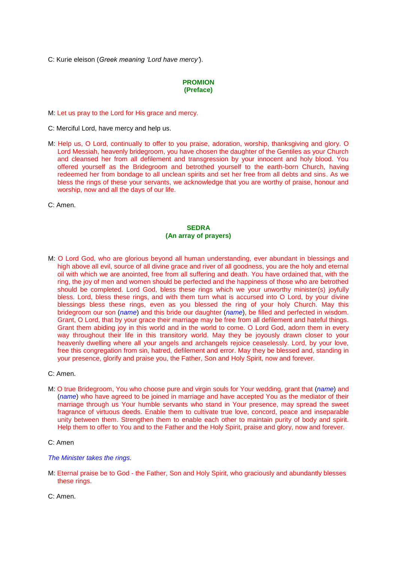C: Kurie eleison (*Greek meaning 'Lord have mercy'*).

# **PROMION (Preface)**

M: Let us pray to the Lord for His grace and mercy.

- C: Merciful Lord, have mercy and help us.
- M: Help us, O Lord, continually to offer to you praise, adoration, worship, thanksgiving and glory. O Lord Messiah, heavenly bridegroom, you have chosen the daughter of the Gentiles as your Church and cleansed her from all defilement and transgression by your innocent and holy blood. You offered yourself as the Bridegroom and betrothed yourself to the earth-born Church, having redeemed her from bondage to all unclean spirits and set her free from all debts and sins. As we bless the rings of these your servants, we acknowledge that you are worthy of praise, honour and worship, now and all the days of our life.
- C: Amen.

# **SEDRA (An array of prayers)**

- M: O Lord God, who are glorious beyond all human understanding, ever abundant in blessings and high above all evil, source of all divine grace and river of all goodness, you are the holy and eternal oil with which we are anointed, free from all suffering and death. You have ordained that, with the ring, the joy of men and women should be perfected and the happiness of those who are betrothed should be completed. Lord God, bless these rings which we your unworthy minister(s) joyfully bless. Lord, bless these rings, and with them turn what is accursed into O Lord, by your divine blessings bless these rings, even as you blessed the ring of your holy Church. May this bridegroom our son (*name*) and this bride our daughter (*name*), be filled and perfected in wisdom. Grant, O Lord, that by your grace their marriage may be free from all defilement and hateful things. Grant them abiding joy in this world and in the world to come. O Lord God, adorn them in every way throughout their life in this transitory world. May they be joyously drawn closer to your heavenly dwelling where all your angels and archangels rejoice ceaselessly. Lord, by your love, free this congregation from sin, hatred, defilement and error. May they be blessed and, standing in your presence, glorify and praise you, the Father, Son and Holy Spirit, now and forever.
- C: Amen.
- M: O true Bridegroom, You who choose pure and virgin souls for Your wedding, grant that (*name*) and (*name*) who have agreed to be joined in marriage and have accepted You as the mediator of their marriage through us Your humble servants who stand in Your presence, may spread the sweet fragrance of virtuous deeds. Enable them to cultivate true love, concord, peace and inseparable unity between them. Strengthen them to enable each other to maintain purity of body and spirit. Help them to offer to You and to the Father and the Holy Spirit, praise and glory, now and forever.
- C: Amen

*The Minister takes the rings.*

- M: Eternal praise be to God the Father, Son and Holy Spirit, who graciously and abundantly blesses these rings.
- C: Amen.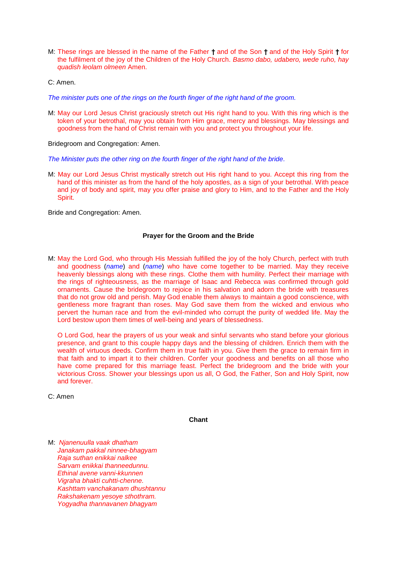M: These rings are blessed in the name of the Father **†** and of the Son **†** and of the Holy Spirit **†** for the fulfilment of the joy of the Children of the Holy Church. *Basmo dabo, udabero, wede ruho, hay quadish leolam olmeen* Amen.

C: Amen.

*The minister puts one of the rings on the fourth finger of the right hand of the groom.*

M: May our Lord Jesus Christ graciously stretch out His right hand to you. With this ring which is the token of your betrothal, may you obtain from Him grace, mercy and blessings. May blessings and goodness from the hand of Christ remain with you and protect you throughout your life.

Bridegroom and Congregation: Amen.

*The Minister puts the other ring on the fourth finger of the right hand of the bride.*

M: May our Lord Jesus Christ mystically stretch out His right hand to you. Accept this ring from the hand of this minister as from the hand of the holy apostles, as a sign of your betrothal. With peace and joy of body and spirit, may you offer praise and glory to Him, and to the Father and the Holy Spirit.

Bride and Congregation: Amen.

#### **Prayer for the Groom and the Bride**

M: May the Lord God, who through His Messiah fulfilled the joy of the holy Church, perfect with truth and goodness (*name*) and (*name*) who have come together to be married. May they receive heavenly blessings along with these rings. Clothe them with humility. Perfect their marriage with the rings of righteousness, as the marriage of Isaac and Rebecca was confirmed through gold ornaments. Cause the bridegroom to rejoice in his salvation and adorn the bride with treasures that do not grow old and perish. May God enable them always to maintain a good conscience, with gentleness more fragrant than roses. May God save them from the wicked and envious who pervert the human race and from the evil-minded who corrupt the purity of wedded life. May the Lord bestow upon them times of well-being and years of blessedness.

O Lord God, hear the prayers of us your weak and sinful servants who stand before your glorious presence, and grant to this couple happy days and the blessing of children. Enrich them with the wealth of virtuous deeds. Confirm them in true faith in you. Give them the grace to remain firm in that faith and to impart it to their children. Confer your goodness and benefits on all those who have come prepared for this marriage feast. Perfect the bridegroom and the bride with your victorious Cross. Shower your blessings upon us all, O God, the Father, Son and Holy Spirit, now and forever.

C: Amen

**Chant**

M: *Njanenuulla vaak dhatham Janakam pakkal ninnee-bhagyam Raja suthan enikkai nalkee Sarvam enikkai thanneedunnu. Ethinal avene vanni-kkunnen Vigraha bhakti cuhtti-chenne. Kashttam vanchakanam dhushtannu Rakshakenam yesoye sthothram. Yogyadha thannavanen bhagyam*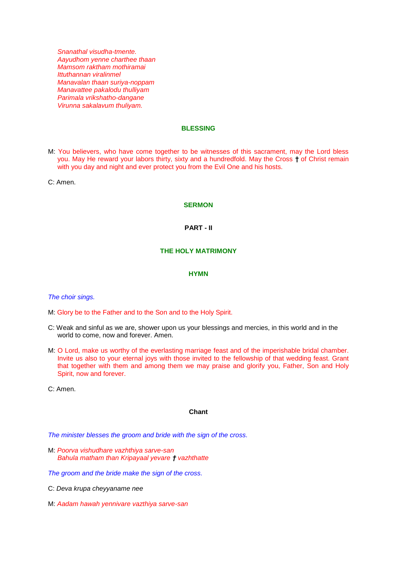*Snanathal visudha-tmente. Aayudhom yenne charthee thaan Mamsom raktham mothiramai Ittuthannan viralinmel Manavalan thaan suriya-noppam Manavattee pakalodu thulliyam Parimala vrikshatho-dangane Virunna sakalavum thuliyam.*

## **BLESSING**

M: You believers, who have come together to be witnesses of this sacrament, may the Lord bless you. May He reward your labors thirty, sixty and a hundredfold. May the Cross **†** of Christ remain with you day and night and ever protect you from the Evil One and his hosts.

C: Amen.

#### **SERMON**

#### **PART - II**

## **THE HOLY MATRIMONY**

#### **HYMN**

#### *The choir sings.*

M: Glory be to the Father and to the Son and to the Holy Spirit.

- C: Weak and sinful as we are, shower upon us your blessings and mercies, in this world and in the world to come, now and forever. Amen.
- M: O Lord, make us worthy of the everlasting marriage feast and of the imperishable bridal chamber. Invite us also to your eternal joys with those invited to the fellowship of that wedding feast. Grant that together with them and among them we may praise and glorify you, Father, Son and Holy Spirit, now and forever.

C: Amen.

### **Chant**

*The minister blesses the groom and bride with the sign of the cross.*

M: *Poorva vishudhare vazhthiya sarve-san Bahula matham than Kripayaal yevare † vazhthatte*

*The groom and the bride make the sign of the cross.*

- C: *Deva krupa cheyyaname nee*
- M: *Aadam hawah yennivare vazthiya sarve-san*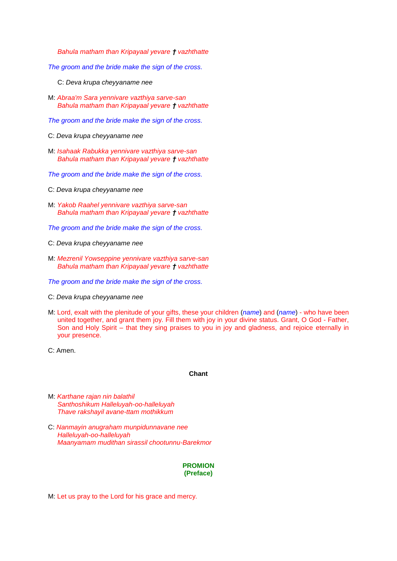*Bahula matham than Kripayaal yevare † vazhthatte*

*The groom and the bride make the sign of the cross.*

- C: *Deva krupa cheyyaname nee*
- M: *Abraa'm Sara yennivare vazthiya sarve-san Bahula matham than Kripayaal yevare † vazhthatte*

*The groom and the bride make the sign of the cross.*

- C: *Deva krupa cheyyaname nee*
- M: *Isahaak Rabukka yennivare vazthiya sarve-san Bahula matham than Kripayaal yevare † vazhthatte*

*The groom and the bride make the sign of the cross.*

- C: *Deva krupa cheyyaname nee*
- M: *Yakob Raahel yennivare vazthiya sarve-san Bahula matham than Kripayaal yevare † vazhthatte*

*The groom and the bride make the sign of the cross.*

- C: *Deva krupa cheyyaname nee*
- M: *Mezrenil Yowseppine yennivare vazthiya sarve-san Bahula matham than Kripayaal yevare † vazhthatte*

*The groom and the bride make the sign of the cross.*

- C: *Deva krupa cheyyaname nee*
- M: Lord, exalt with the plenitude of your gifts, these your children (*name*) and (*name*) who have been united together, and grant them joy. Fill them with joy in your divine status. Grant, O God - Father, Son and Holy Spirit – that they sing praises to you in joy and gladness, and rejoice eternally in your presence.
- C: Amen.

#### **Chant**

- M: *Karthane rajan nin balathil Santhoshikum Halleluyah-oo-halleluyah Thave rakshayil avane-ttam mothikkum*
- C: *Nanmayin anugraham munpidunnavane nee Halleluyah-oo-halleluyah Maanyamam mudithan sirassil chootunnu-Barekmor*

### **PROMION (Preface)**

M: Let us pray to the Lord for his grace and mercy.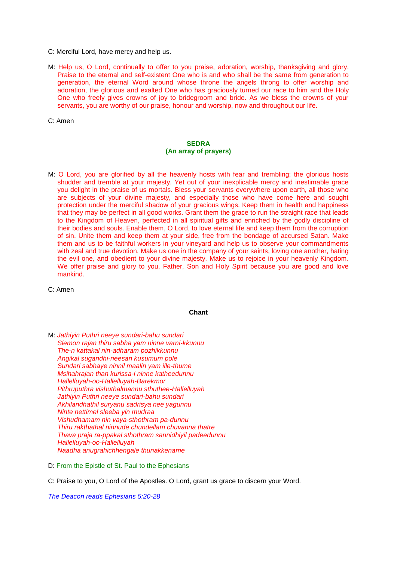- C: Merciful Lord, have mercy and help us.
- M: Help us, O Lord, continually to offer to you praise, adoration, worship, thanksgiving and glory. Praise to the eternal and self-existent One who is and who shall be the same from generation to generation, the eternal Word around whose throne the angels throng to offer worship and adoration, the glorious and exalted One who has graciously turned our race to him and the Holy One who freely gives crowns of joy to bridegroom and bride. As we bless the crowns of your servants, you are worthy of our praise, honour and worship, now and throughout our life.

C: Amen

# **SEDRA (An array of prayers)**

M: O Lord, you are glorified by all the heavenly hosts with fear and trembling; the glorious hosts shudder and tremble at your majesty. Yet out of your inexplicable mercy and inestimable grace you delight in the praise of us mortals. Bless your servants everywhere upon earth, all those who are subjects of your divine majesty, and especially those who have come here and sought protection under the merciful shadow of your gracious wings. Keep them in health and happiness that they may be perfect in all good works. Grant them the grace to run the straight race that leads to the Kingdom of Heaven, perfected in all spiritual gifts and enriched by the godly discipline of their bodies and souls. Enable them, O Lord, to love eternal life and keep them from the corruption of sin. Unite them and keep them at your side, free from the bondage of accursed Satan. Make them and us to be faithful workers in your vineyard and help us to observe your commandments with zeal and true devotion. Make us one in the company of your saints, loving one another, hating the evil one, and obedient to your divine majesty. Make us to rejoice in your heavenly Kingdom. We offer praise and glory to you, Father, Son and Holy Spirit because you are good and love mankind.

C: Amen

## **Chant**

M: *Jathiyin Puthri neeye sundari-bahu sundari Slemon rajan thiru sabha yam ninne varni-kkunnu The-n kattakal nin-adharam pozhikkunnu Angikal sugandhi-neesan kusumum pole Sundari sabhaye ninnil maalin yam ille-thume Msihahrajan than kurissa-l ninne katheedunnu Hallelluyah-oo-Hallelluyah-Barekmor Pithruputhra vishuthalmannu sthuthee-Hallelluyah Jathiyin Puthri neeye sundari-bahu sundari Akhilandhathil suryanu sadrisya nee yagunnu Ninte nettimel sleeba yin mudraa Vishudhamam nin vaya-sthothram pa-dunnu Thiru rakthathal ninnude chundellam chuvanna thatre Thava praja ra-ppakal sthothram sannidhiyil padeedunnu Hallelluyah-oo-Hallelluyah Naadha anugrahichhengale thunakkename*

D: From the Epistle of St. Paul to the Ephesians

C: Praise to you, O Lord of the Apostles. O Lord, grant us grace to discern your Word.

*The Deacon reads Ephesians 5:20-28*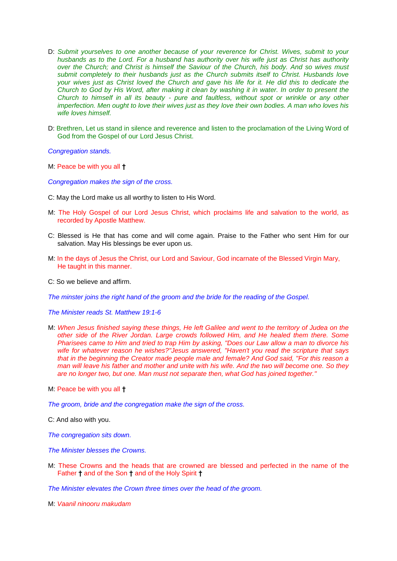- D: *Submit yourselves to one another because of your reverence for Christ. Wives, submit to your husbands as to the Lord. For a husband has authority over his wife just as Christ has authority over the Church; and Christ is himself the Saviour of the Church, his body. And so wives must submit completely to their husbands just as the Church submits itself to Christ. Husbands love your wives just as Christ loved the Church and gave his life for it. He did this to dedicate the Church to God by His Word, after making it clean by washing it in water. In order to present the Church to himself in all its beauty - pure and faultless, without spot or wrinkle or any other imperfection. Men ought to love their wives just as they love their own bodies. A man who loves his wife loves himself.*
- D: Brethren, Let us stand in silence and reverence and listen to the proclamation of the Living Word of God from the Gospel of our Lord Jesus Christ.

*Congregation stands.*

M: Peace be with you all **†**

*Congregation makes the sign of the cross.*

- C: May the Lord make us all worthy to listen to His Word.
- M: The Holy Gospel of our Lord Jesus Christ, which proclaims life and salvation to the world, as recorded by Apostle Matthew.
- C: Blessed is He that has come and will come again. Praise to the Father who sent Him for our salvation. May His blessings be ever upon us.
- M: In the days of Jesus the Christ, our Lord and Saviour, God incarnate of the Blessed Virgin Mary, He taught in this manner.
- C: So we believe and affirm.

*The minster joins the right hand of the groom and the bride for the reading of the Gospel.*

*The Minister reads St. Matthew 19:1-6*

- M: *When Jesus finished saying these things, He left Galilee and went to the territory of Judea on the other side of the River Jordan. Large crowds followed Him, and He healed them there. Some Pharisees came to Him and tried to trap Him by asking, "Does our Law allow a man to divorce his wife for whatever reason he wishes?"Jesus answered, "Haven't you read the scripture that says that in the beginning the Creator made people male and female? And God said, "For this reason a man will leave his father and mother and unite with his wife. And the two will become one. So they are no longer two, but one. Man must not separate then, what God has joined together."*
- M: Peace be with you all **†**

*The groom, bride and the congregation make the sign of the cross.*

C: And also with you.

*The congregation sits down.*

*The Minister blesses the Crowns.*

M: These Crowns and the heads that are crowned are blessed and perfected in the name of the Father **†** and of the Son **†** and of the Holy Spirit **†**

*The Minister elevates the Crown three times over the head of the groom.*

M: *Vaanil ninooru makudam*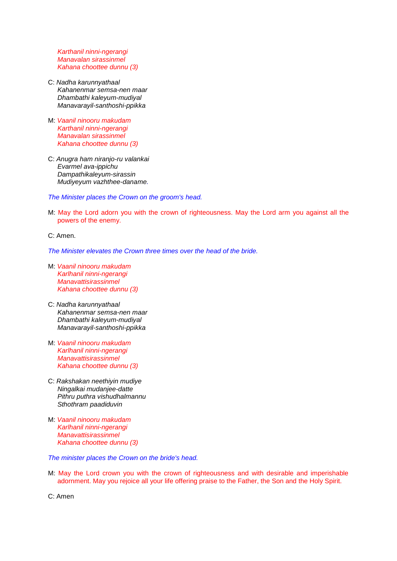*Karthanil ninni-ngerangi Manavalan sirassinmel Kahana choottee dunnu (3)*

- C: *Nadha karunnyathaal Kahanenmar semsa-nen maar Dhambathi kaleyum-mudiyal Manavarayil-santhoshi-ppikka*
- M: *Vaanil ninooru makudam Karthanil ninni-ngerangi Manavalan sirassinmel Kahana choottee dunnu (3)*
- C: *Anugra ham niranjo-ru valankai Evarmel ava-ippichu Dampathikaleyum-sirassin Mudiyeyum vazhthee-daname.*

*The Minister places the Crown on the groom's head.*

M: May the Lord adorn you with the crown of righteousness. May the Lord arm you against all the powers of the enemy.

C: Amen.

*The Minister elevates the Crown three times over the head of the bride.*

- M: *Vaanil ninooru makudam Karlhanil ninni-ngerangi Manavattisirassinmel Kahana choottee dunnu (3)*
- C: *Nadha karunnyathaal Kahanenmar semsa-nen maar Dhambathi kaleyum-mudiyal Manavarayil-santhoshi-ppikka*
- M: *Vaanil ninooru makudam Karlhanil ninni-ngerangi Manavattisirassinmel Kahana choottee dunnu (3)*
- C: *Rakshakan neethiyin mudiye Ningalkai mudanjee-datte Pithru puthra vishudhalmannu Sthothram paadiduvin*
- M: *Vaanil ninooru makudam Karlhanil ninni-ngerangi Manavattisirassinmel Kahana choottee dunnu (3)*

*The minister places the Crown on the bride's head.*

M: May the Lord crown you with the crown of righteousness and with desirable and imperishable adornment. May you rejoice all your life offering praise to the Father, the Son and the Holy Spirit.

C: Amen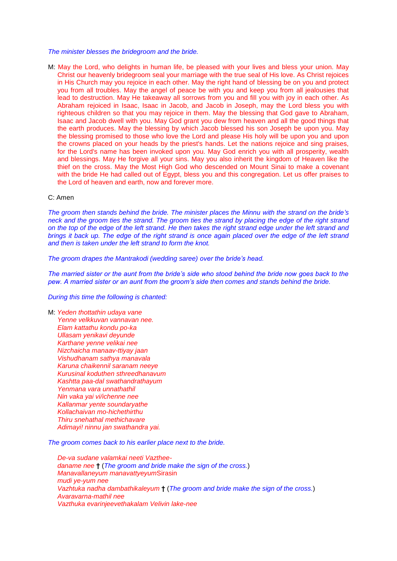*The minister blesses the bridegroom and the bride.*

M: May the Lord, who delights in human life, be pleased with your lives and bless your union. May Christ our heavenly bridegroom seal your marriage with the true seal of His love. As Christ rejoices in His Church may you rejoice in each other. May the right hand of blessing be on you and protect you from all troubles. May the angel of peace be with you and keep you from all jealousies that lead to destruction. May He takeaway all sorrows from you and fill you with joy in each other. As Abraham rejoiced in Isaac, Isaac in Jacob, and Jacob in Joseph, may the Lord bless you with righteous children so that you may rejoice in them. May the blessing that God gave to Abraham, Isaac and Jacob dwell with you. May God grant you dew from heaven and all the good things that the earth produces. May the blessing by which Jacob blessed his son Joseph be upon you. May the blessing promised to those who love the Lord and please His holy will be upon you and upon the crowns placed on your heads by the priest's hands. Let the nations rejoice and sing praises, for the Lord's name has been invoked upon you. May God enrich you with all prosperity, wealth and blessings. May He forgive all your sins. May you also inherit the kingdom of Heaven like the thief on the cross. May the Most High God who descended on Mount Sinai to make a covenant with the bride He had called out of Egypt, bless you and this congregation. Let us offer praises to the Lord of heaven and earth, now and forever more.

# C: Amen

*The groom then stands behind the bride. The minister places the Minnu with the strand on the bride's neck and the groom ties the strand. The groom ties the strand by placing the edge of the right strand on the top of the edge of the left strand. He then takes the right strand edge under the left strand and brings it back up. The edge of the right strand is once again placed over the edge of the left strand and then is taken under the left strand to form the knot.*

*The groom drapes the Mantrakodi (wedding saree) over the bride's head.* 

*The married sister or the aunt from the bride's side who stood behind the bride now goes back to the pew. A married sister or an aunt from the groom's side then comes and stands behind the bride.* 

*During this time the following is chanted:*

M: *Yeden thottathin udaya vane Yenne velkkuvan vannavan nee. Elam kattathu kondu po-ka Ullasam yenikavi deyunde Karthane yenne velikai nee Nizchaicha manaav-ttiyay jaan Vishudhanam sathya manavala Karuna chaikennil saranam neeye Kurusinal koduthen sthreedhanavum Kashtta paa-dal swathandrathayum Yenmana vara unnathathil Nin vaka yai vi/ichenne nee Kallanmar yente soundaryathe Kollachaivan mo-hichethirthu Thiru snehathal methichavare Adimayi! ninnu jan swathandra yai.*

*The groom comes back to his earlier place next to the bride.*

*De-va sudane valamkai neeti Vaztheedaname nee* **†** (*The groom and bride make the sign of the cross.*) *Manavallaneyum manavattyeyum*Sirasin *mudi ye-yum nee Vazhtuka nadha dambathikaleyum* **†** (*The groom and bride make the sign of the cross.*) *Avaravarna-mathil nee Vazthuka evarinjeevethakalam Velivin lake-nee*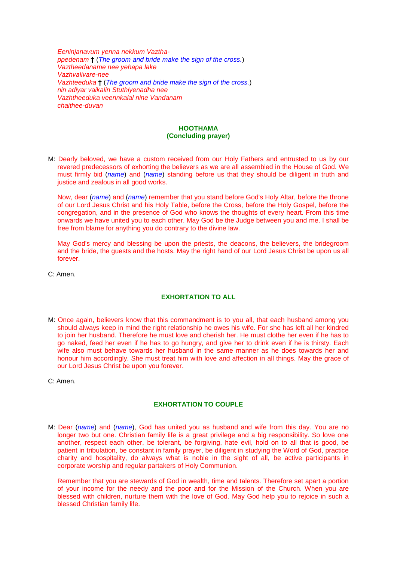*Eeninjanavum yenna nekkum Vazthappedenam* **†** (*The groom and bride make the sign of the cross.*) *Vaztheedaname nee yehapa lake Vazhvalivare-nee Vazhteeduka* **†** (*The groom and bride make the sign of the cross.*) *nin adiyar vaikalin Stuthiyenadha nee Vazhtheeduka veennkalal nine Vandanam chaithee-duvan*

### **HOOTHAMA (Concluding prayer)**

M: Dearly beloved, we have a custom received from our Holy Fathers and entrusted to us by our revered predecessors of exhorting the believers as we are all assembled in the House of God. We must firmly bid (*name*) and (*name*) standing before us that they should be diligent in truth and justice and zealous in all good works.

Now, dear (*name*) and (*name*) remember that you stand before God's Holy Altar, before the throne of our Lord Jesus Christ and his Holy Table, before the Cross, before the Holy Gospel, before the congregation, and in the presence of God who knows the thoughts of every heart. From this time onwards we have united you to each other. May God be the Judge between you and me. I shall be free from blame for anything you do contrary to the divine law.

May God's mercy and blessing be upon the priests, the deacons, the believers, the bridegroom and the bride, the guests and the hosts. May the right hand of our Lord Jesus Christ be upon us all forever.

C: Amen.

# **EXHORTATION TO ALL**

- M: Once again, believers know that this commandment is to you all, that each husband among you should always keep in mind the right relationship he owes his wife. For she has left all her kindred to join her husband. Therefore he must love and cherish her. He must clothe her even if he has to go naked, feed her even if he has to go hungry, and give her to drink even if he is thirsty. Each wife also must behave towards her husband in the same manner as he does towards her and honour him accordingly. She must treat him with love and affection in all things. May the grace of our Lord Jesus Christ be upon you forever.
- C: Amen.

# **EXHORTATION TO COUPLE**

M: Dear (*name*) and (*name*), God has united you as husband and wife from this day. You are no longer two but one. Christian family life is a great privilege and a big responsibility. So love one another, respect each other, be tolerant, be forgiving, hate evil, hold on to all that is good, be patient in tribulation, be constant in family prayer, be diligent in studying the Word of God, practice charity and hospitality, do always what is noble in the sight of all, be active participants in corporate worship and regular partakers of Holy Communion.

Remember that you are stewards of God in wealth, time and talents. Therefore set apart a portion of your income for the needy and the poor and for the Mission of the Church. When you are blessed with children, nurture them with the love of God. May God help you to rejoice in such a blessed Christian family life.